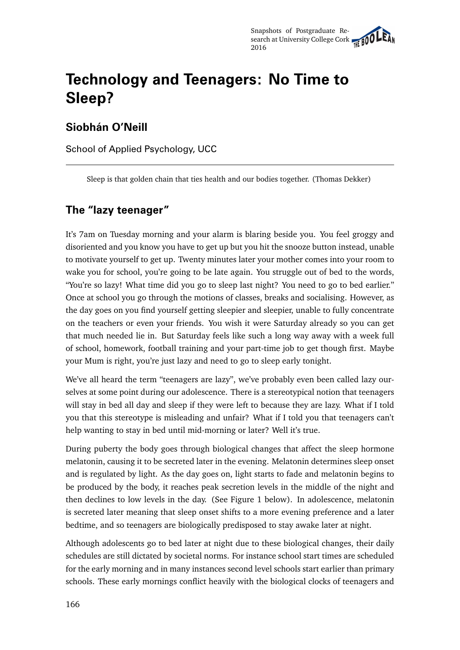# **Technology and Teenagers: No Time to Sleep?**

### **Siobhán O'Neill**

School of Applied Psychology, UCC

Sleep is that golden chain that ties health and our bodies together. (Thomas Dekker)

### **The "lazy teenager"**

It's 7am on Tuesday morning and your alarm is blaring beside you. You feel groggy and disoriented and you know you have to get up but you hit the snooze button instead, unable to motivate yourself to get up. Twenty minutes later your mother comes into your room to wake you for school, you're going to be late again. You struggle out of bed to the words, "You're so lazy! What time did you go to sleep last night? You need to go to bed earlier." Once at school you go through the motions of classes, breaks and socialising. However, as the day goes on you find yourself getting sleepier and sleepier, unable to fully concentrate on the teachers or even your friends. You wish it were Saturday already so you can get that much needed lie in. But Saturday feels like such a long way away with a week full of school, homework, football training and your part-time job to get though first. Maybe your Mum is right, you're just lazy and need to go to sleep early tonight.

We've all heard the term "teenagers are lazy", we've probably even been called lazy ourselves at some point during our adolescence. There is a stereotypical notion that teenagers will stay in bed all day and sleep if they were left to because they are lazy. What if I told you that this stereotype is misleading and unfair? What if I told you that teenagers can't help wanting to stay in bed until mid-morning or later? Well it's true.

During puberty the body goes through biological changes that affect the sleep hormone melatonin, causing it to be secreted later in the evening. Melatonin determines sleep onset and is regulated by light. As the day goes on, light starts to fade and melatonin begins to be produced by the body, it reaches peak secretion levels in the middle of the night and then declines to low levels in the day. (See Figure 1 below). In adolescence, melatonin is secreted later meaning that sleep onset shifts to a more evening preference and a later bedtime, and so teenagers are biologically predisposed to stay awake later at night.

Although adolescents go to bed later at night due to these biological changes, their daily schedules are still dictated by societal norms. For instance school start times are scheduled for the early morning and in many instances second level schools start earlier than primary schools. These early mornings conflict heavily with the biological clocks of teenagers and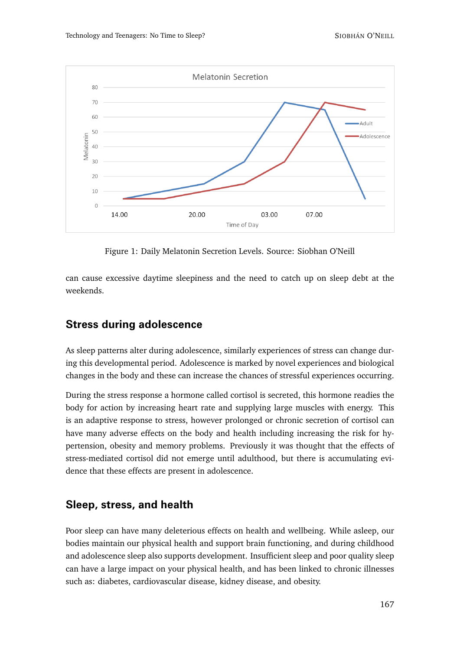

Figure 1: Daily Melatonin Secretion Levels. Source: Siobhan O'Neill

can cause excessive daytime sleepiness and the need to catch up on sleep debt at the weekends.

#### **Stress during adolescence**

As sleep patterns alter during adolescence, similarly experiences of stress can change during this developmental period. Adolescence is marked by novel experiences and biological changes in the body and these can increase the chances of stressful experiences occurring.

During the stress response a hormone called cortisol is secreted, this hormone readies the body for action by increasing heart rate and supplying large muscles with energy. This is an adaptive response to stress, however prolonged or chronic secretion of cortisol can have many adverse effects on the body and health including increasing the risk for hypertension, obesity and memory problems. Previously it was thought that the effects of stress-mediated cortisol did not emerge until adulthood, but there is accumulating evidence that these effects are present in adolescence.

#### **Sleep, stress, and health**

Poor sleep can have many deleterious effects on health and wellbeing. While asleep, our bodies maintain our physical health and support brain functioning, and during childhood and adolescence sleep also supports development. Insufficient sleep and poor quality sleep can have a large impact on your physical health, and has been linked to chronic illnesses such as: diabetes, cardiovascular disease, kidney disease, and obesity.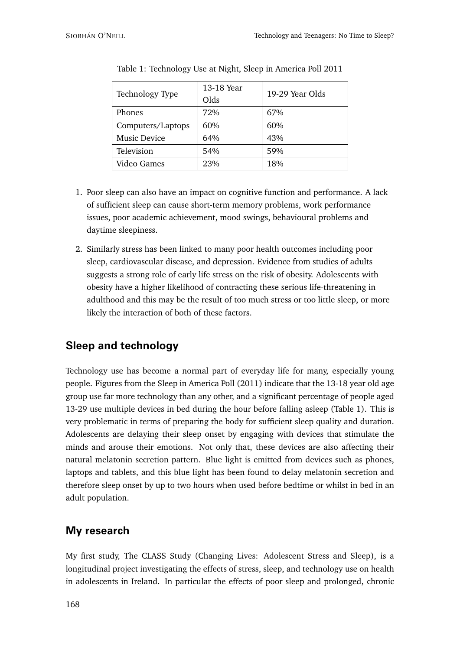| Technology Type     | 13-18 Year<br>Olds | 19-29 Year Olds |
|---------------------|--------------------|-----------------|
| <b>Phones</b>       | 72%                | 67%             |
| Computers/Laptops   | 60%                | 60%             |
| <b>Music Device</b> | 64%                | 43%             |
| Television          | 54%                | 59%             |
| Video Games         | 23%                | 18%             |

Table 1: Technology Use at Night, Sleep in America Poll 2011

- 1. Poor sleep can also have an impact on cognitive function and performance. A lack of sufficient sleep can cause short-term memory problems, work performance issues, poor academic achievement, mood swings, behavioural problems and daytime sleepiness.
- 2. Similarly stress has been linked to many poor health outcomes including poor sleep, cardiovascular disease, and depression. Evidence from studies of adults suggests a strong role of early life stress on the risk of obesity. Adolescents with obesity have a higher likelihood of contracting these serious life-threatening in adulthood and this may be the result of too much stress or too little sleep, or more likely the interaction of both of these factors.

### **Sleep and technology**

Technology use has become a normal part of everyday life for many, especially young people. Figures from the Sleep in America Poll (2011) indicate that the 13-18 year old age group use far more technology than any other, and a significant percentage of people aged 13-29 use multiple devices in bed during the hour before falling asleep (Table 1). This is very problematic in terms of preparing the body for sufficient sleep quality and duration. Adolescents are delaying their sleep onset by engaging with devices that stimulate the minds and arouse their emotions. Not only that, these devices are also affecting their natural melatonin secretion pattern. Blue light is emitted from devices such as phones, laptops and tablets, and this blue light has been found to delay melatonin secretion and therefore sleep onset by up to two hours when used before bedtime or whilst in bed in an adult population.

## **My research**

My first study, The CLASS Study (Changing Lives: Adolescent Stress and Sleep), is a longitudinal project investigating the effects of stress, sleep, and technology use on health in adolescents in Ireland. In particular the effects of poor sleep and prolonged, chronic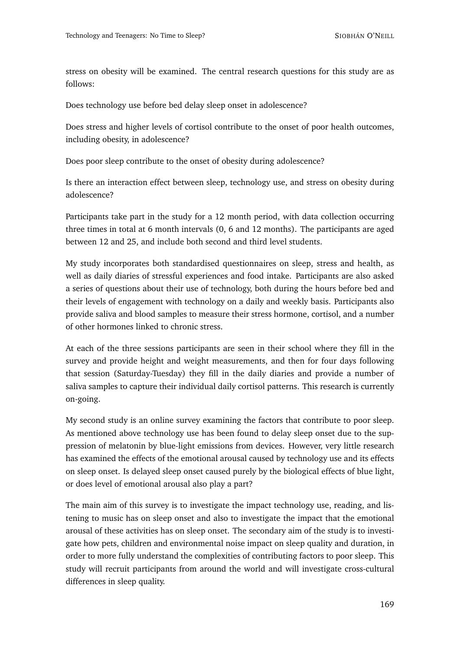stress on obesity will be examined. The central research questions for this study are as follows:

Does technology use before bed delay sleep onset in adolescence?

Does stress and higher levels of cortisol contribute to the onset of poor health outcomes, including obesity, in adolescence?

Does poor sleep contribute to the onset of obesity during adolescence?

Is there an interaction effect between sleep, technology use, and stress on obesity during adolescence?

Participants take part in the study for a 12 month period, with data collection occurring three times in total at 6 month intervals (0, 6 and 12 months). The participants are aged between 12 and 25, and include both second and third level students.

My study incorporates both standardised questionnaires on sleep, stress and health, as well as daily diaries of stressful experiences and food intake. Participants are also asked a series of questions about their use of technology, both during the hours before bed and their levels of engagement with technology on a daily and weekly basis. Participants also provide saliva and blood samples to measure their stress hormone, cortisol, and a number of other hormones linked to chronic stress.

At each of the three sessions participants are seen in their school where they fill in the survey and provide height and weight measurements, and then for four days following that session (Saturday-Tuesday) they fill in the daily diaries and provide a number of saliva samples to capture their individual daily cortisol patterns. This research is currently on-going.

My second study is an online survey examining the factors that contribute to poor sleep. As mentioned above technology use has been found to delay sleep onset due to the suppression of melatonin by blue-light emissions from devices. However, very little research has examined the effects of the emotional arousal caused by technology use and its effects on sleep onset. Is delayed sleep onset caused purely by the biological effects of blue light, or does level of emotional arousal also play a part?

The main aim of this survey is to investigate the impact technology use, reading, and listening to music has on sleep onset and also to investigate the impact that the emotional arousal of these activities has on sleep onset. The secondary aim of the study is to investigate how pets, children and environmental noise impact on sleep quality and duration, in order to more fully understand the complexities of contributing factors to poor sleep. This study will recruit participants from around the world and will investigate cross-cultural differences in sleep quality.